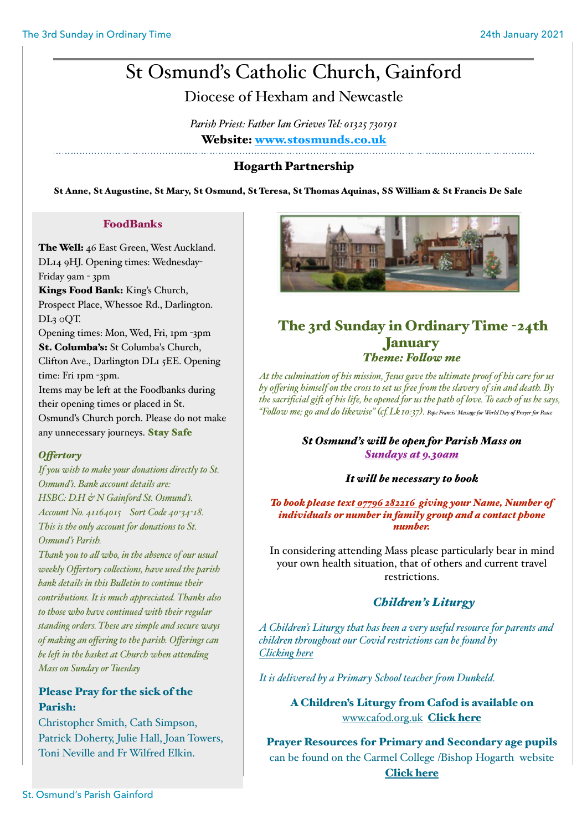# St Osmund's Catholic Church, Gainford Diocese of Hexham and Newcastle

*Parish Priest: Father Ian Grieves Tel: 01325 730191* Website: www.stosmunds.co.uk 

# Hogarth Partnership

St Anne, St Augustine, St Mary, St Osmund, St Teresa, St Thomas Aquinas, SS William & St Francis De Sale

# FoodBanks

The Well: 46 East Green, West Auckland. DL14 9HJ. Opening times: Wednesday-Friday 9am - 3pm Kings Food Bank: King's Church, Prospect Place, Whessoe Rd., Darlington. DL3 oOT. Opening times: Mon, Wed, Fri, 1pm -3pm St. Columba's: St Columba's Church, Clifton Ave., Darlington DL1 5EE. Opening time: Fri 1pm -3pm. Items may be left at the Foodbanks during their opening times or placed in St. Osmund's Church porch. Please do not make any unnecessary journeys. Stay Safe

# *Ofertory*

*If you wish to make your donations directly to St. Osmund's. Bank account details are: HSBC: D.H & N Gainford St. Osmund's. Account No. 41164015 Sort Code 40-34-18. This is the only account for donations to St. Osmund's Parish.* 

*Thank you to al who, in the absence of our usual weekly Offertory colections, have used the parish bank details in this Buletin to continue their contributions. It is much appreciated. Thanks also to those who have continued with their regular standing orders. These are simple and secure ways of making an offering to the parish. Offerings can be lef in the basket at Church when attending Mass on Sunday or Tuesday*

# Please Pray for the sick of the Parish:

Christopher Smith, Cath Simpson, Patrick Doherty, Julie Hall, Joan Towers, Toni Neville and Fr Wilfred Elkin.



# The 3rd Sunday in Ordinary Time -24th **January** *Theme: Folow me*

*At the culmination of his mission, Jesus gave the ultimate proof of his care for us by offering himself on the cross to set us fee fom the slavery of sin and death. By the sacrificial gif of his life, he opened for us the path of love. To each of us he says, "Folow me; go and do likewise" (cf.Lk10:37). Pope Francis' Message for World Day of Prayer for Peace*

> *St Osmund's wil be open for Parish Mass on Sundays at 9.30am*

# *It wil be necessary to book*

*To book please text 07796 282216 giving your Name, Number of individuals or number in family group and a contact phone number.* 

In considering attending Mass please particularly bear in mind your own health situation, that of others and current travel restrictions.

# *Children's Liturgy*

*A Children's Liturgy that has been a very useful resource for parents and children throughout our Covid restrictions can be found by Clicking here* 

*It is delivered by a Primary School teacher fom Dunkeld.*

A Children's Liturgy from Cafod is available on www.cafod.org.uk Click here

Prayer Resources for Primary and Secondary age pupils can be found on the Carmel College /Bishop Hogarth website Click here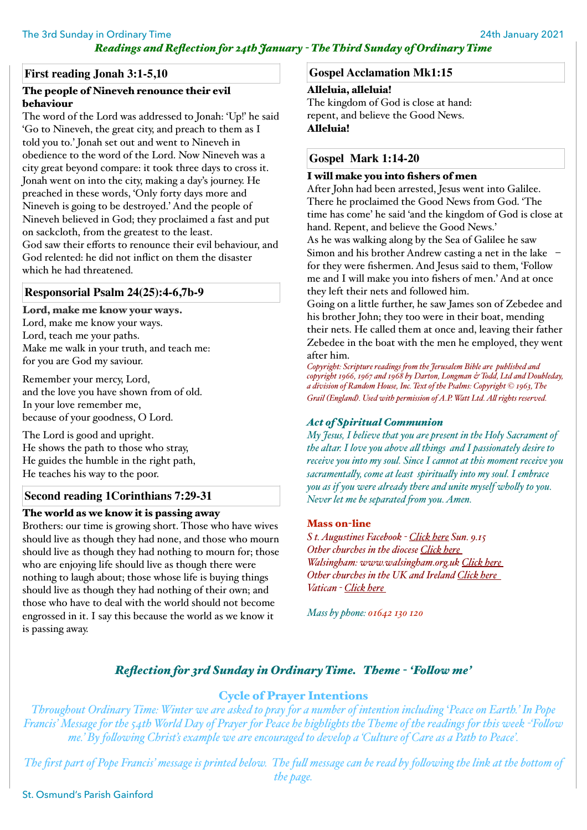# The 3rd Sunday in Ordinary Time 24th January 2021

# *Readings and Reflection for 24th January - The Third Sunday of Ordinary Time*

#### **First reading Jonah 3:1-5,10**

# The people of Nineveh renounce their evil behaviour

The word of the Lord was addressed to Jonah: 'Up!' he said 'Go to Nineveh, the great city, and preach to them as I told you to.' Jonah set out and went to Nineveh in obedience to the word of the Lord. Now Nineveh was a city great beyond compare: it took three days to cross it. Jonah went on into the city, making a day's journey. He preached in these words, 'Only forty days more and Nineveh is going to be destroyed.' And the people of Nineveh believed in God; they proclaimed a fast and put on sackcloth, from the greatest to the least. God saw their efforts to renounce their evil behaviour, and God relented: he did not inflict on them the disaster which he had threatened.

# **Responsorial Psalm 24(25):4-6,7b-9**

### Lord, make me know your ways.

Lord, make me know your ways. Lord, teach me your paths. Make me walk in your truth, and teach me: for you are God my saviour.

Remember your mercy, Lord, and the love you have shown from of old. In your love remember me, because of your goodness, O Lord.

The Lord is good and upright. He shows the path to those who stray, He guides the humble in the right path, He teaches his way to the poor.

# **Second reading 1Corinthians 7:29-31**

# The world as we know it is passing away

Brothers: our time is growing short. Those who have wives should live as though they had none, and those who mourn should live as though they had nothing to mourn for; those who are enjoying life should live as though there were nothing to laugh about; those whose life is buying things should live as though they had nothing of their own; and those who have to deal with the world should not become engrossed in it. I say this because the world as we know it is passing away.

# **Gospel Acclamation Mk1:15**

#### Alleluia, alleluia!

The kingdom of God is close at hand: repent, and believe the Good News. Alleluia!

### **Gospel Mark 1:14-20**

#### I will make you into fishers of men

After John had been arrested, Jesus went into Galilee. There he proclaimed the Good News from God. 'The time has come' he said 'and the kingdom of God is close at hand. Repent, and believe the Good News.'

As he was walking along by the Sea of Galilee he saw Simon and his brother Andrew casting a net in the lake – for they were fishermen. And Jesus said to them, 'Follow me and I will make you into fishers of men.' And at once they left their nets and followed him.

Going on a little further, he saw James son of Zebedee and his brother John; they too were in their boat, mending their nets. He called them at once and, leaving their father Zebedee in the boat with the men he employed, they went after him.

*Copyright: Scripture readings fom the Jerusalem Bible are published and copyright 1966, 1967 and 1968 by Darton, Longman & Todd, Ltd and Doubleday, a division of Random House, Inc. Text of the Psalms: Copyright © 1963, The Grail (England). Used with permission of A.P. Watt Ltd. Al rights reserved.* 

#### *Act of Spiritual Communion*

*My Jesus, I believe that you are present in the Holy Sacrament of the altar. I love you above al things and I passionately desire to receive you into my soul. Since I cannot at this moment receive you sacramentaly, come at least spiritualy into my soul. I embrace you as if you were already there and unite myself wholy to you. Never let me be separated fom you. Amen.* 

#### Mass 0n-line

*S t. Augustines Facebook - Click here Sun. 9.15 Other churches in the diocese Click here Walsingham: www.walsingham.org.uk Click here Other churches in the UK and Ireland Click here Vatican - Click here* 

*Mass by phone: 01642 130 120*

# *Reflection for 3rd Sunday in Ordinary Time. Theme - 'Folow me'*

# Cycle of Prayer Intentions

*Throughout Ordinary Time: Winter we are asked to pray for a number of intention including* '*Peace on Earth.' In Pope Francis' Message for the 54th World Day of Prayer for Peace he highlights the Theme of the readings for this week -'Folow me.' By folowing Christ's example we are encouraged to develop a 'Culture of Care as a Path to Peace'.* 

*The first part of Pope Francis' message is printed below. The ful message can be read by folowing the link at the bottom of the page.*